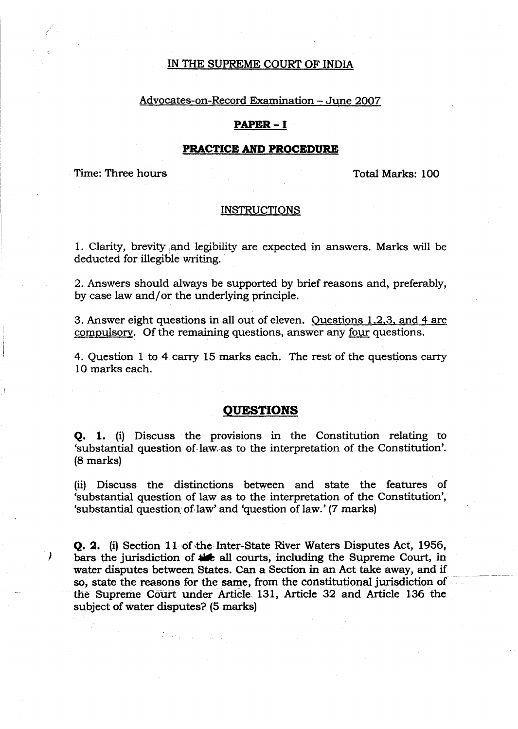## IN THE SUPREME COURT OF INDIA

#### Advocates-on-Record Examination - June 2007

## **PAPER-I**

#### **PRACTICE AND PROCEDURE**

Time: Three hours

)

Total Marks: 100

#### INSTRUCTIONS

1. Clarity, brevity ,and legibility are expected in answers. Marks will be deducted for illegible writing.

2. Answers should always be supported by brief reasons and, preferably, by case law and/or the underlying principle.

3. Answer eight questions in all out of eleven. Ouestions 1.2.3. and 4 are compulsory. Of the remaining questions, answer any four questions.

4. Question 1 to 4 carry 15 marks each. The rest of the questions carry 10 marks each.

## **QUESTIONS**

Q. 1. (i) Discuss the provisions in the Constitution relating to 'substantial question of law as to the interpretation of the Constitution'. (8 marks)

(ii) Discuss the distinctions between and state the features of 'substantial question of law as to the interpretation of the Constitution', 'substantial question. of,law' and 'question of law.' (7 marks)

Q. 2. (i) Section 11 of the Inter-State River Waters Disputes Act, 1956, bars the jurisdiction of  $\frac{1}{2}$  all courts, including the Supreme Court, in water disputes between States. Can a Section in an Act take away, and if so, state the reasons for the same, from the constitutional jurisdiction of the Supreme Court under Article. 131, Article 32 and Article 136 the subject of water disputes? (5 marks)

 $\mathcal{L}(\mathcal{A}) = \mathcal{L}(\mathcal{A})$  .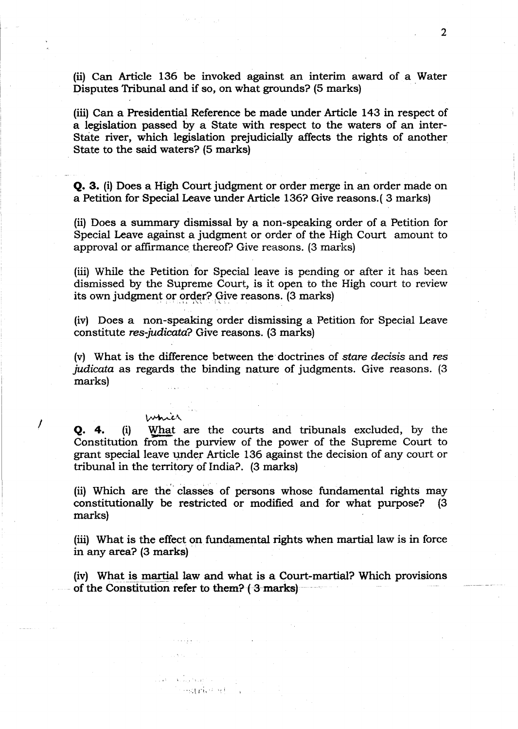(ii) Can Article 136 be invoked against an interim award of a Water Disputes Tribunal and if so, on what grounds? (5 marks) .

(iii) Can a Presidential Reference be made under Article 143 in respect of a legislation passed by a State with respect to the waters of an inter-State river, which legislation prejudicially affects the rights of another State to the said waters? (5 marks)

**Q. 3.** (i) Does a High Court judgment or order merge in an order made on a Petition for Special Leave under Article 136? Give reasons.( 3 marks)

(ii) Does a summary dismissal by a non-speaking order of a Petition for Special Leave against a judgment or order of the High Court amount to approval or affirmance thereof? Give reasons. (3 marks)

(iii) While the Petition for Special leave is pending or after it has been dismissed by the Supreme Court, is it open to the High court to review its own judgment or order? Give reasons. (3 marks)

(iv) Does a non-speaking order dismissing a Petition for Special Leave constitute res-judicata? Give reasons. (3 marks)

(v) What is the difference between the· doctrines of stare decisis and res judicata as regards the binding nature of judgments. Give reasons. (3 marks)

which **Q. 4.** (i) What are the courts and tribunals excluded, by the Constitution from- the purview of the power of the Supreme Court to grant special leave under Article 136 against the decision of any court or tribunal in the territory of India? (3 marks)

I

(ii) Which are the classes of persons whose fundamental rights may constitutionally be restricted or modified and for what purpose? (3 marks)

(iii) What is the effect on fundamental rights when martial law is in force in any area? (3 marks)

(iv) What is martial law and what is a Court-martial? Which provisions of the Constitution refer to them? (3 marks)

**SHAPWERE**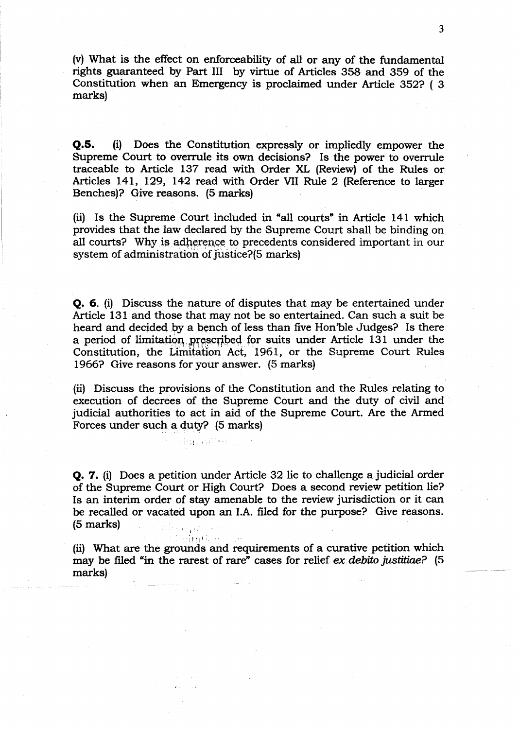(v) What is the effect on enforceability of all or any of the fundamental rights guaranteed by Part III by virtue of Articles 358 and 359 of the Constitution when an Emergency is proclaimed under Article 352? ( 3 marks)

**Q.5.** (i) Does the Constitution expressly or impliedly empower the Supreme Court to overrule its own decisions? Is the power to overrule traceable to Article 137 read with Order XL (Review) of the Rules or Articles 141, 129, 142 read with Order VII Rule 2 (Reference to larger Benches)? Give reasons. (5 marks)

(ii) Is the Supreme Court included in "all courts" in Article 141 which provides that the law declared by the Supreme Court shall be binding on all courts? Why is adherence to precedents considered important in our system of administration of justice?(5 marks)

**Q.** 6. (i) Discuss the nature of disputes that may be entertained under Article 131 and those that may not be so entertained. Can such a suit be heard and decided by a bench of less than five Hon'ble Judges? Is there a period of limitation prescribed for suits under Article 131 under the Constitution, the Limitation Act, 1961, or the Supreme Court Rules 1966? Give reasons for your answer. (5 marks)

(ii) Discuss the provisions of the Constitution and the Rules relating to execution of decrees of the Supreme Court and the duty of civil and judicial authorities to act in aid of the Supreme Court. Are the Armed Forces under such a duty? (5 marks)

ion of less is

**Q. 7.** (i) Does a petition under Article 32 lie to challenge a judicial order of the Supreme Court or High Court? Does a second review petition lie? Is an interim order of stay amenable to the review jurisdiction or it can be recalled or vacated upon an LA. filed for the purpose? Give reasons. (5 marks) alban pr

:1,641666 (ii) What are the grounds and requirements of a curative petition which may be filed "in the rarest of rare" cases for relief ex debito justitiae? (5) marks)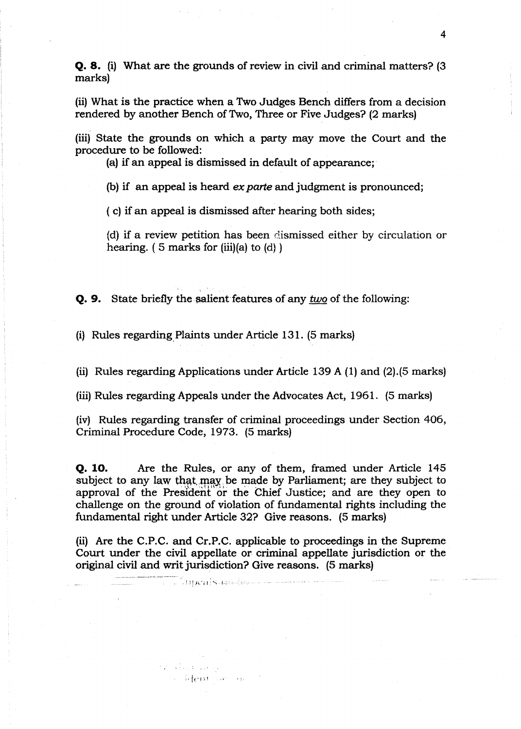**Q. 8.** (i) What are the grounds of review in civil and criminal matters? (3 marks)

(ii) What is the practice when a Two Judges Bench differs from a decision rendered by another Bench of Two, Three or Five Judges? (2 marks)

(iii) State the grounds on which a party may move the Court and the procedure to be followed:

(a) if an appeal is dismissed in default of appearance:

(b) if an appeal is heard ex parte and judgment is pronounced;

( c) if an appeal is dismissed after hearing both sides;

(d) if a review petition has been dismissed either by circulation or hearing.  $(5 \text{ marks for (iii)}(a) \text{ to } (d))$ 

**Q. 9.** State briefly the salient features of any *two* of the following:

(i) Rules regarding.Plaints under Article 131. (5 marks)

a: Heritan, ne

and a health more

(ii) Rules regarding Applications under Article 139 A (1) and (2).(5 marks)

(iii) Rules regarding Appeals under the Advocates Act, 1961. (5 marks)

(iv) Rules regarding transfer of criminal proceedings under Section 406, Criminal Procedure Code, 1973. (5 marks)

**Q. 10.** Are the Rules, or any of them, framed under Article 145 subject to any law that may be made by Parliament; are they subject to approval of the President or the Chief Justice; and are they open to challenge on the ground of violation of fundamental rights including the fundamental right under Article 32? Give reasons. (5 marks)

(ii) Are the C.P.C. and Cr.P.C. applicable to proceedings in the Supreme Court under the civil appellate or criminal appellate jurisdiction or the original civil and writ jurisdiction? Give reasons. (5 marks)

T. Yoocals assigned the com-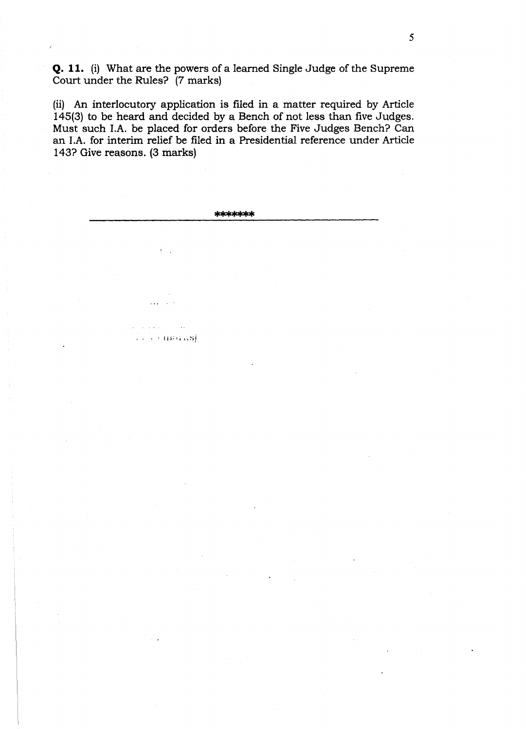**Q. 11.** (i) What are the powers of a learned Single Judge of the Supreme Court under the Rules? (7 marks)

(ii) An interlocutory application is filed in a matter required by Article 145(3) to be heard and decided by a Bench of not less than five Judges. Must such LA. be placed for orders before the Five Judges Bench? Can an LA. for interim relief be filed in a Presidential reference under Article 143? Give reasons. (3 marks)

**\*\*\*\*\*\*\***

 $\ddotsc$  $\sim$   $\sim$ 

 $\sim 10^{-1}$ 

 $\sim$  $+$   $+$   $\mu$  $\mu$  $\alpha$  $\alpha$ si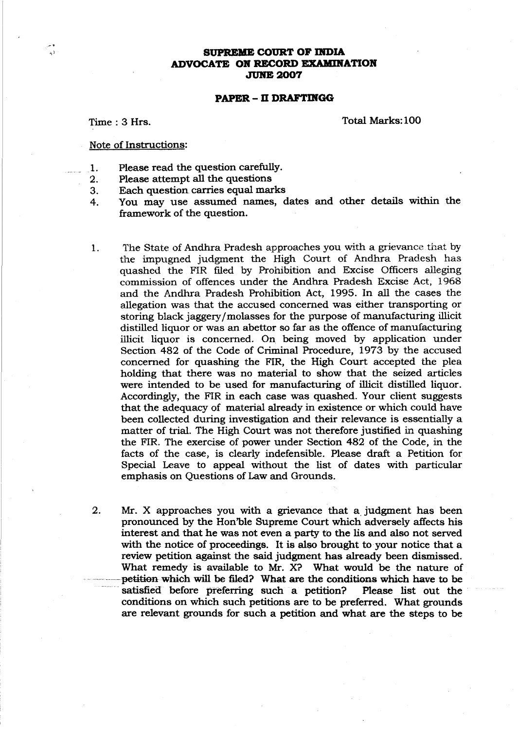#### **SUPREME COURT OF INDIA ADVOCATE OK RECORD EXAMDlATlOIf** JUKE 2007

#### **PAPER - D DRAFTIIfGG**

Time: 3 Hrs.

Total Marks: 100

#### Note of Instructions:

- \_1. Please read the question carefully.
- 2. Please attempt all the questions
- 3. Each question carries equal marks
- 4. You may use assumed names, dates and other details within the framework of the question.
- 1. The State of Andhra Pradesh approaches you with a grievance that by the impugned judgment the High Court. of Andhra Pradesh has quashed the FIR filed by Prohibition and Excise Officers alleging commission of offences under the Andhra Pradesh Excise Act, 1968 and the Andhra Pradesh Prohibition Act, 1995. In all the cases the allegation was that the accused concerned was either transporting or storing black jaggery/molasses for the purpose of manufacturing illicit distilled liquor or was an abettor so far as the offence of manufacturing illicit liquor is concerned. On being moved by application under Section 482 of the Code of Criminal Procedure, 1973 by the accused concerned for quashing the FIR, the High Court accepted the plea holding that there was no material to show that the seized articles were intended to be used for manufacturing of illicit distilled liquor. Accordingly, the FIR in each case was quashed. Your client suggests that the adequacy of material already in existence or which could have been collected during investigation and their relevance is essentially a matter of trial. The High Court was not therefore justified in quashing the FIR. The exercise of power under Section 482 of the Code, in the facts of the case, is clearly indefensible. Please draft a Petition for Special Leave to appeal without the list of dates with particular emphasis on Questions of Law and Grounds.
- 2. Mr. X approaches you with a grievance that a judgment has been pronounced by the Hon'ble Supreme Court which adversely affects his interest and that he was not even a party to the lis and also not served with the notice of proceedings. It is also brought to your notice that a review petition against the said judgment has already been dismissed. What remedy is available to Mr. X? What would be the nature of petition-which will be filed? What are the conditions which have to be satisfied before preferring such a petition? Please list out the conditions on which such petitions are to be preferred. What grounds are relevant grounds for such a petition and what are the steps to be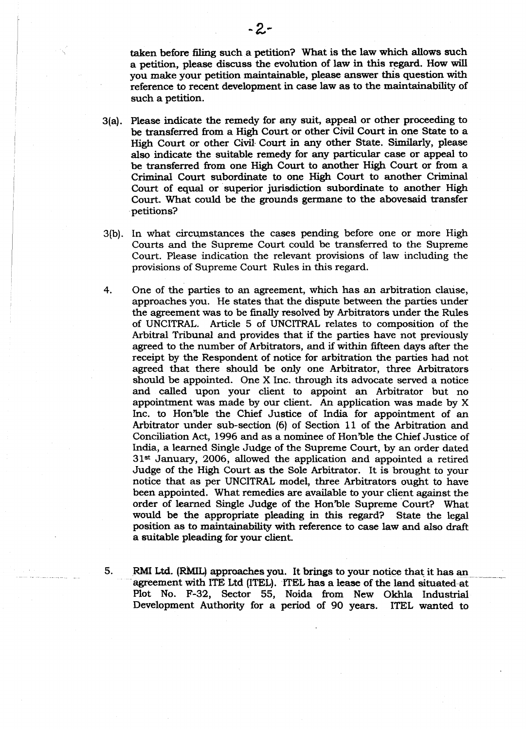taken before filing such a petition? What is the law which allows such a petition, please discuss the evolution of law in this regard. How will you make your petition maintainable, please answer this question with reference to recent development in case law as to the maintainability of such a petition.

- 3(a). Please indicate the remedy for any suit, appeal or other proceeding to be transferred from a High Court or other Civil Court in one State to a High Court or other Civil Court in any other State. Similarly, please also indicate the suitable remedy for any particular case or appeal to be transferred from one High Court to another High Court or from a Criminal Court subordinate to one High Court to another Criminal Court of equal or superior jurisdiction subordinate to another High Court. What could be the grounds germane to the abovesaid transfer petitions?
- 3(b). In what circumstances the cases pending before one or more High Courts and the Supreme Court could be transferred to the Supreme Court. Please indication the relevant provisions of law including the provisions of Supreme Court Rules in this regard.
- 4. One of the parties to an agreement, which has an arbitration clause, approaches you. He states that the dispute between the parties under the agreement was to be fmally resolved by Arbitrators under the Rules of UNCITRAL. Article 5 of UNCITRAL relates to composition of the Arbitral Tribunal and provides that if the parties have not previously agreed to the number of Arbitrators, and if within fifteen days after the receipt by the Respondent of notice for arbitration the parties had not agreed that there should be only one Arbitrator, three Arbitrators should be appointed. One X Inc. through its advocate served a notice and called upon your client to appoint an Arbitrator but no appointment was made by our client. An application was made by X Inc. to Hon'ble the Chief Justice of India for appointment of an Arbitrator under sub-section (6) of Section 11 of the Arbitration and Conciliation Act, 1996 and as a nominee of Hon'ble the Chief Justice of India, a learned Single Judge of the Supreme Court, by an order dated 31st January, 2006, allowed the application and appointed a retired Judge of the High Court as the Sole Arbitrator. It is brought to your notice that as per UNCITRAL model, three Arbitrators ought to have been appointed. What remedies are available to your client against the order of learned Single Judge of the Hon'ble Supreme 'Court? What would be the appropriate pleading in this regard? State the legal position as to maintainability with reference to case law and also draft a suitable pleading for your client.
- 

5. RMI Ltd. (RMIL) approaches you. It brings to your notice that it has an agreement with ITE Ltd (ITEL). ITEL has a lease of the land situated at Plot No. F-32, Sector 55, Noida from New Okhla Industrial Development Authority for a period of 90 years. ITEL wanted to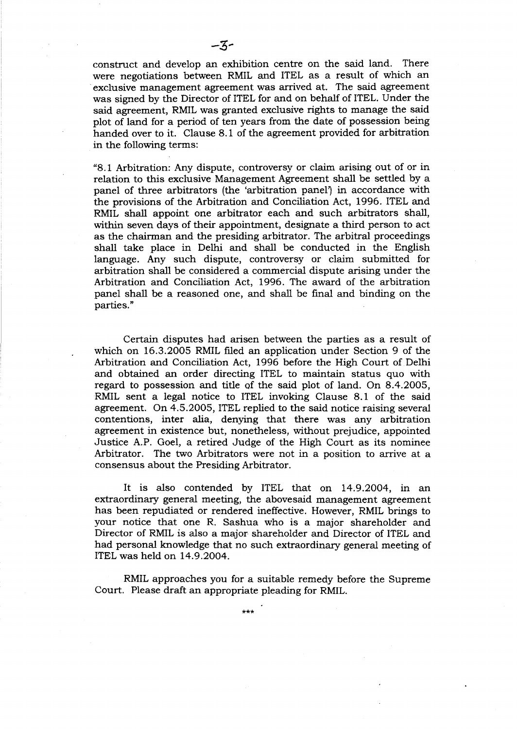construct and develop an exhibition centre on the said land. There were negotiations between RMIL and ITEL as a result of which an .exclusive management agreement was arrived at. The said agreement was signed by the Director of ITEL for and on behalf of ITEL. Under the said agreement, RMIL was granted exclusive rights to manage the said plot of land for a period of ten years from the date of possession being handed over to it. Clause 8.1 of the agreement provided for arbitration in the following terms:

"8.1 Arbitration: Any dispute, controversy or claim arising out of or in relation to this exclusive Management Agreement shall be settled by a panel of three arbitrators (the 'arbitration panel') in accordance with the provisions of the Arbitration and Conciliation Act, 1996. ITEL and RMIL shall appoint one arbitrator each and such arbitrators shall, within seven days of their appointment, designate a third person to act as the chairman and the presiding arbitrator. The arbitral proceedings shall take place in Delhi and shall be conducted in the English language. Any such dispute, controversy or claim submitted for arbitration shall be considered a commercial dispute arising under the Arbitration and Conciliation Act, 1996. The award of the arbitration panel shall be a reasoned one, and shall be final and binding on the parties."

Certain disputes had arisen between the parties as a result of which on 16.3.2005 RMIL filed an application under Section 9 of the Arbitration and Conciliation Act, 1996 before the High Court of. Delhi and obtained an order directing ITEL to maintain status quo with regard to possession and title of the said plot of land. On 8.4.2005, RMIL sent a legal notice to ITEL invoking Clause 8.1 of the said agreement. On 4.5.2005, ITEL replied to the said notice raising several contentions, inter alia, denying that there was any arbitration agreement in existence but, nonetheless, without prejudice, appointed Justice A.P. Goel, a retired Judge of the High Court as its nominee Arbitrator. The two Arbitrators were not in a position to arrive at a consensus about the Presiding Arbitrator.

It is also contended by ITEL that on 14.9.2004, in an extraordinary general meeting, the abovesaid management agreement has been repudiated or rendered ineffective. However, RMIL brings to your notice that one R. Sashua who is a major shareholder and Director of RMIL is also a major shareholder and Director of ITEL and had personal knowledge that no such extraordinary general meeting of ITEL was held on 14.9.2004.

RMIL approaches you for a suitable remedy before the Supreme Court. Please draft an appropriate pleading for RMIL.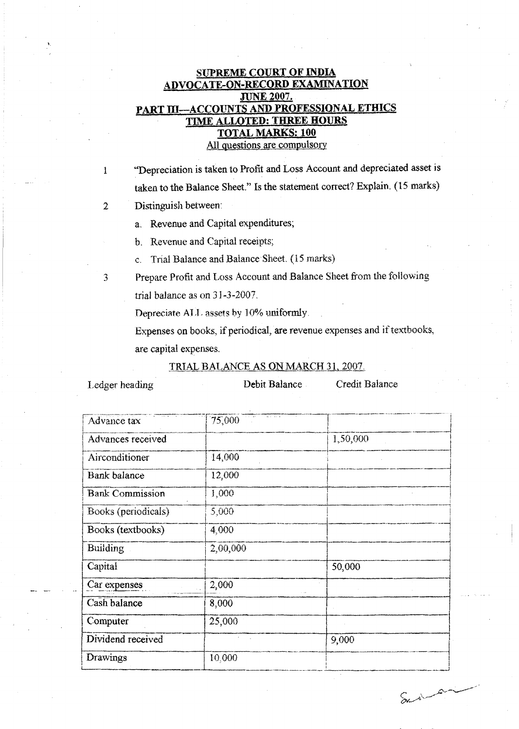# **SUPREME COURT OF INDIA** ADVOCATE-ON-RECORD EXAMINATION **JUNE 2007.** PART III-ACCOUNTS AND PROFESSIONAL ETHICS TIME ALLOTED: THREE HOURS **TOTAL MARKS: 100**

All questions are compulsory

"Depreciation is taken to Profit and Loss Account and depreciated asset is taken to the Balance Sheet." Is the statement correct? Explain. (15 marks)

Distinguish between:

a. Revenue and Capital expenditures;

b. Revenue and Capital receipts;

Trial Balance and Balance Sheet. (15 marks)  $\mathbf{C}$ .

3

 $\mathbf{1}$ 

 $\overline{2}$ 

Prepare Profit and Loss Account and Balance Sheet from the following trial balance as on 31-3-2007.

Depreciate ALL assets by 10% uniformly.

Expenses on books, if periodical, are revenue expenses and if textbooks, are capital expenses.

## TRIAL BALANCE AS ON MARCH 31, 2007.

Ledger heading

Debit Balance

Credit Balance

| Advance tax            | 75,000   |          |
|------------------------|----------|----------|
| Advances received      |          | 1,50,000 |
| Airconditioner         | 14,000   |          |
| Bank balance           | 12,000   |          |
| <b>Bank Commission</b> | 1,000    |          |
| Books (periodicals)    | 5,000    |          |
| Books (textbooks)      | 4,000    |          |
| <b>Building</b>        | 2,00,000 |          |
| Capital                |          | 50,000   |
| Car expenses           | 2,000    |          |
| Cash balance           | 8,000    |          |
| Computer               | 25,000   |          |
| Dividend received      |          | 9,000    |
| Drawings               | 10,000   |          |

Surian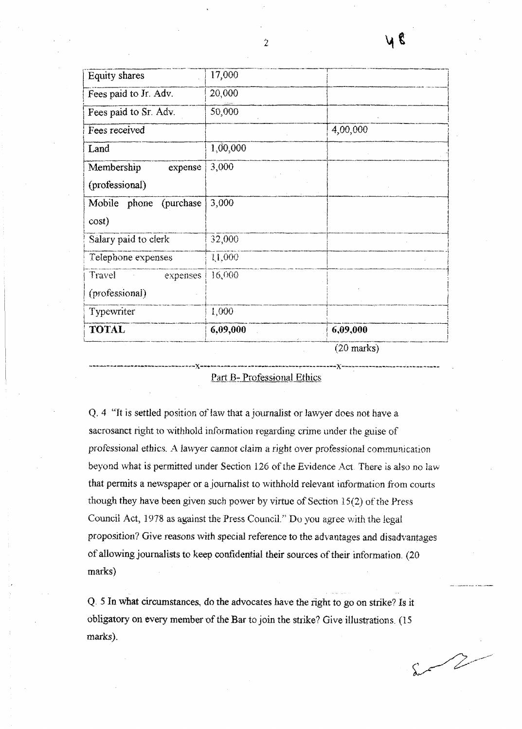| Equity shares          | 17,000       |          |
|------------------------|--------------|----------|
| Fees paid to Jr. Adv.  | 20,000       |          |
| Fees paid to Sr. Adv.  | 50,000       |          |
| Fees received          |              | 4,00,000 |
| Land                   | 1,00,000     |          |
| Membership<br>expense  | 3,000        |          |
| (professional)         |              |          |
| Mobile phone (purchase | 3,000        |          |
| cost)                  |              |          |
| Salary paid to clerk   | 32,000       |          |
| Telephone expenses     | 11,000       |          |
| Travel<br>expenses     | 16,000       |          |
| (professional)         |              |          |
| Typewriter             | 1,000        |          |
| <b>TOTAL</b>           | 6,09,000     | 6,09,000 |
|                        | $(20$ morton |          |

ZU marks)

#### Part B-Professional Ethics

Q. 4 "It is settled position of law that a journalist or lawyer does not have a sacrosanct right to withhold information regarding crime under the guise of professional ethics. A lawyer cannot claim a right over professional communication beyond what is permitted under Section 126 of the Evidence Act. There is also no law that permits a newspaper or a journalist to withhold relevant information from courts though they have been given such power by virtue of Section 15(2) of the Press Council Act, 1978 as against the Press Council." Do you agree with the legal proposition? Give reasons with special reference to the advantages and disadvantages of allowing journalists to keep confidential their sources of their information. (20 marks)

Q. 5 In what circumstances, do the advocates have the right to go on strike? Is it obligatory on every member of the Bar to join the strike? Give illustrations. (15 marks).

 $\sqrt{2}$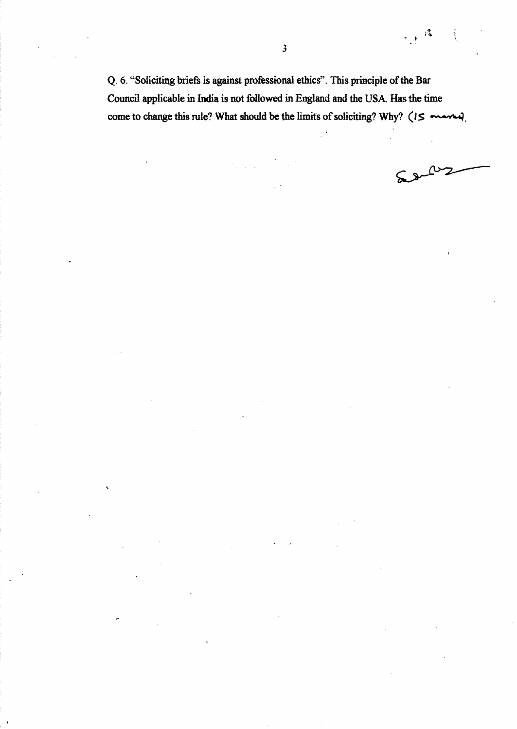Q. 6. "Soliciting briefs is against professional ethics". This principle of the Bar Council applicable in India is not followed in England and the USA. Has the time come to change this rule? What should be the limits of soliciting? Why? (IS married).

 $\sim$ 2

 $\mathbb{Z}^2$  $\overline{\mathcal{L}}$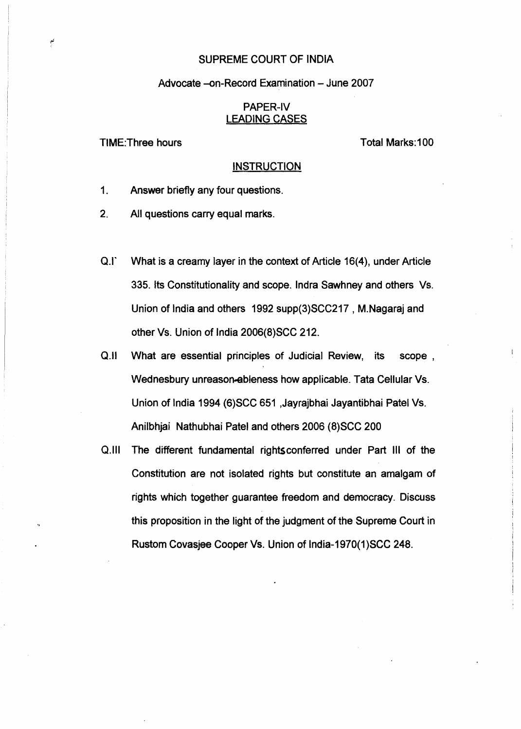## SUPREME COURT OF INDIA

## Advocate -on-Record Examination - June 2007

## PAPER-IV LEADING CASES

TIME:Three hours

Total Marks:100

## **INSTRUCTION**

- 1. Answer briefly any four questions.
- 2. All questions carry equal marks.
- Q.I' What is a creamy layer in the context of Article 16(4), under Article 335. Its Constitutionality and scope. Indra Sawhney and others Vs. Union of India and others 1992 supp(3)SCC217 , M.Nagaraj and other Vs. Union of India 2006(8)SCC 212.
- Q.II What are essential principles of Judicial Review, its scope, Wednesbury unreason-ableness how applicable. Tata Cellular Vs. Union of India 1994 (6)SCC 651 ,Jayrajbhai Jayantibhai Patel Vs. Anilbhjai Nathubhai Patel and others 2006 (8)SCC 200
- Q.1I1 The different fundamental rightsconferred under Part III of the Constitution are not isolated rights but constitute an amalgam of rights which together guarantee freedom and democracy. Discuss this proposition in the light of the judgment of the Supreme Court in Rustom Covasjee Cooper Vs. Union of India-1970(1)SCC 248.